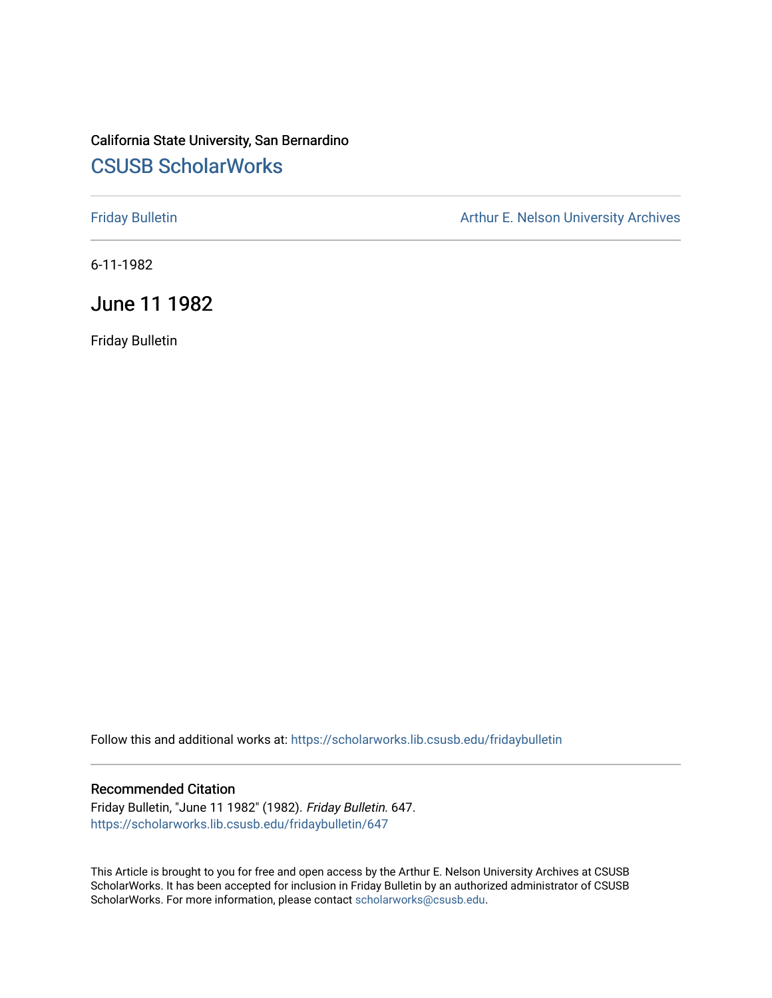# California State University, San Bernardino [CSUSB ScholarWorks](https://scholarworks.lib.csusb.edu/)

[Friday Bulletin](https://scholarworks.lib.csusb.edu/fridaybulletin) **Arthur E. Nelson University Archives** Arthur E. Nelson University Archives

6-11-1982

# June 11 1982

Friday Bulletin

Follow this and additional works at: [https://scholarworks.lib.csusb.edu/fridaybulletin](https://scholarworks.lib.csusb.edu/fridaybulletin?utm_source=scholarworks.lib.csusb.edu%2Ffridaybulletin%2F647&utm_medium=PDF&utm_campaign=PDFCoverPages)

## Recommended Citation

Friday Bulletin, "June 11 1982" (1982). Friday Bulletin. 647. [https://scholarworks.lib.csusb.edu/fridaybulletin/647](https://scholarworks.lib.csusb.edu/fridaybulletin/647?utm_source=scholarworks.lib.csusb.edu%2Ffridaybulletin%2F647&utm_medium=PDF&utm_campaign=PDFCoverPages)

This Article is brought to you for free and open access by the Arthur E. Nelson University Archives at CSUSB ScholarWorks. It has been accepted for inclusion in Friday Bulletin by an authorized administrator of CSUSB ScholarWorks. For more information, please contact [scholarworks@csusb.edu.](mailto:scholarworks@csusb.edu)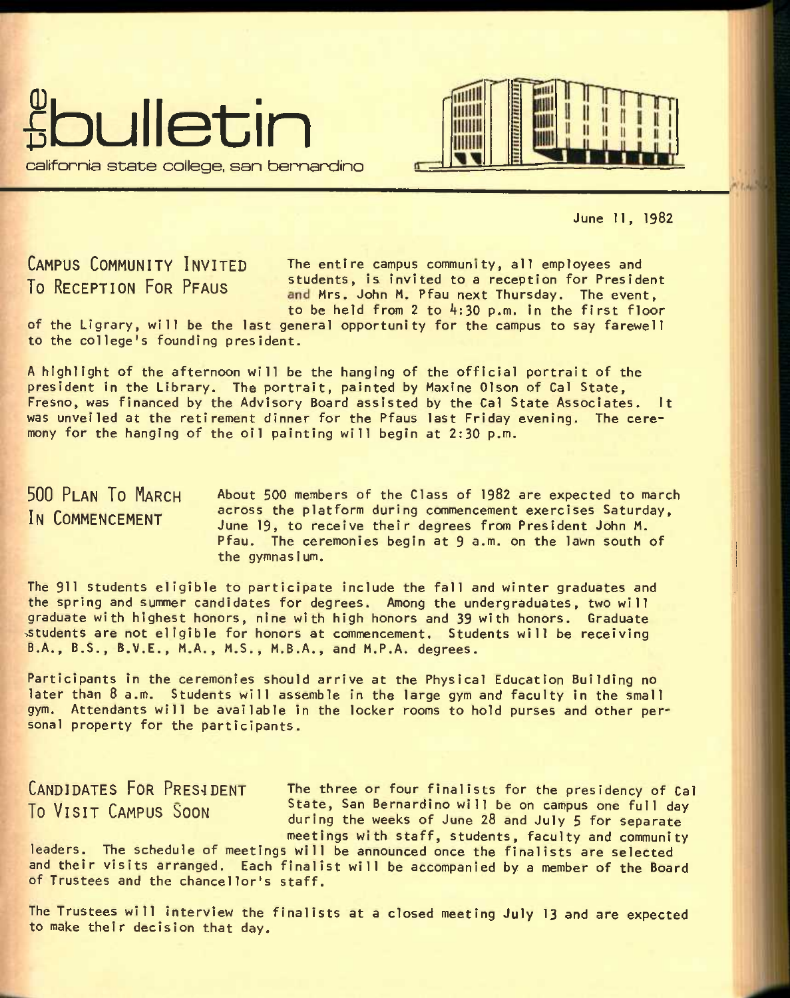





June 11, 1982

**CAMPUS COMMUNITY INVITED** The entire campus community, all employees and To RECEPTION FOR PFAUS students, is invited to a reception for President To RECEPTION FOR PFAUS and Mrs. John M. Pfau next Thursday. The event, to be held from 2 to 4:30 p.m. in the first floor

of the Ligrary, will be the last general opportunity for the campus to say farewell to the college's founding president.

A highlight of the afternoon will be the hanging of the official portrait of the president in the Library. The portrait, painted by Maxine Olson of Cal State, Fresno, was financed by the Advisory Board assisted by the Cal State Associates, it was unveiled at the retirement dinner for the Pfaus last Friday evening. The ceremony for the hanging of the oil painting will begin at 2:30 p.m.

#### **500 PLAN TO MARCH**  IN COMMENCEMENT About 500 members of the Class of 1982 are expected to march across the platform during commencement exercises Saturday, June 19, to receive their degrees from President John M. Pfau. The ceremonies begin at 9 a.m. on the lawn south of the gymnasium.

The 911 students eligible to participate include the fall and winter graduates and the spring and summer candidates for degrees. Among the undergraduates, two will graduate with highest honors, nine with high honors and 39 with honors. Graduate ^students are not eligible for honors at commencement. Students will be receiving B.A., B.S., B.V.E., M.A., M.S., M.B.A., and M.P.A. degrees.

Participants in the ceremonies should arrive at the Physical Education Building no later than 8 a.m. Students will assemble in the large gym and faculty in the small gym. Attendants will be available in the locker rooms to hold purses and other personal property for the participants.

CANDIDATES FOR PRESIDENT The three or four finalists for the presidency of Call<br>To Vieir Cineup Seeven State, San Bernardino will be on campus one full day TN VTCTT PAMDIIC State, San Bernardino wi 11 be on campus one full day **10** VISIT LAMPUS **BOON** during the weeks of June 28 and July 5 for separate meetings with staff, students, faculty and community

leaders. The schedule of meetings will be announced once the finalists are selected and their visits arranged. Each finalist will be accompanied by a member of the Board of Trustees and the chancellor's staff.

The Trustees will interview the finalists at a closed meeting July 13 and are expected to make their decision that day.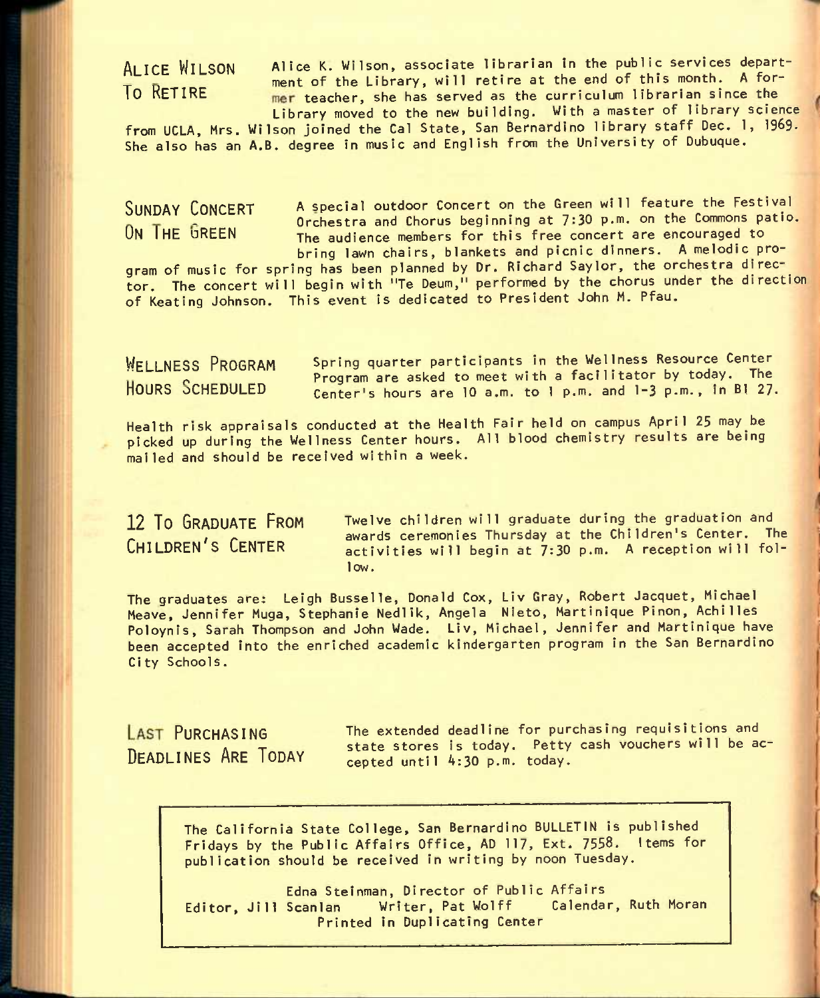ALICE WILSON Alice K. Wilson, associate librarian in the public services department of the Library, will retire at the end of this month. A for-**To RETIRE The Existence of the Constant Construction** and the curriculum librarian since the Library moved to the new building. With a master of library science

from UCLA, Mrs. Wilson joined the Cal State, San Bernardino library staff Dec. 1, 1969- She also has an A.B. degree in music and English from the University of Dubuque.

SUNDAY CONCERT A special outdoor Concert on the Green will feature the Festival **CONSTREM CONSTRESS OF A CONSTRESS OF CHORUS CONSTRESS** ON THE GREEN The audience members for this free concert are encouraged to The audience members for this free concert are encouraged to bring lawn chairs, blankets and picnic dinners. A melodic pro-

gram of music for spring has been planned by Dr. Richard Saylor, the orchestra director. The concert will begin with "Te Deum," performed by the chorus under the direction of Keating Johnson. This event is dedicated to President John M. Pfau.

WFIINESS PROGRAM Spring quarter participants in the Wellness Resource Center program are asked to meet with a facilitator by today. The<br>HOURS SCHEDULED 6 conteris bours are 10 a.m. to 1 p.m. and 1-3 p.m., in B1 27. Center's hours are 10 a.m. to 1 p.m. and 1-3 p.m., in BI 27.

Health risk appraisals conducted at the Health Fair held on campus April 25 may be picked up during the Wellness Center hours. All blood chemistry results are being mailed and should be received within a week.

12 To GRADUATE FROM Twelve children will graduate during the graduation and awards ceremonies Thursday at the Children's Center. The<br>CHILDREN'S CENTER activities will begin at 7:30 p.m. A reception will folactivities will begin at 7:30 p.m. A reception will follow.

The graduates are; Leigh Busselle, Donald Cox, LIv Gray, Robert Jacquet, Michael Meave, Jennifer Muga, Stephanie Nedlik, Angela Nieto, Martinique Pinon, Achi1les Poloynis, Sarah Thompson and John Wade. LIv, Michael, Jennifer and Martinique have been accepted Into the enriched academic kindergarten program In the San Bernardino City Schools.

LAST PURCHASING The extended deadline for purchasing requisitions and  $\frac{1}{2}$   $\frac{1}{2}$  state stores is today. Petty cash vouchers will be accepted until  $4:30$  p.m. today.

The California State College, San Bernardino BULLETIN Is published Fridays by the Public Affairs Office, AD 117, Ext. 7558. Items for publication should be received In writing by noon Tuesday.

Edna Steinman, Director of Public Affairs<br>Scanlan – Writer, Pat Wolff – Calendar, Ruth Moran Editor, Jill Scanlan Writer, Pat Wolff Printed In Duplicating Center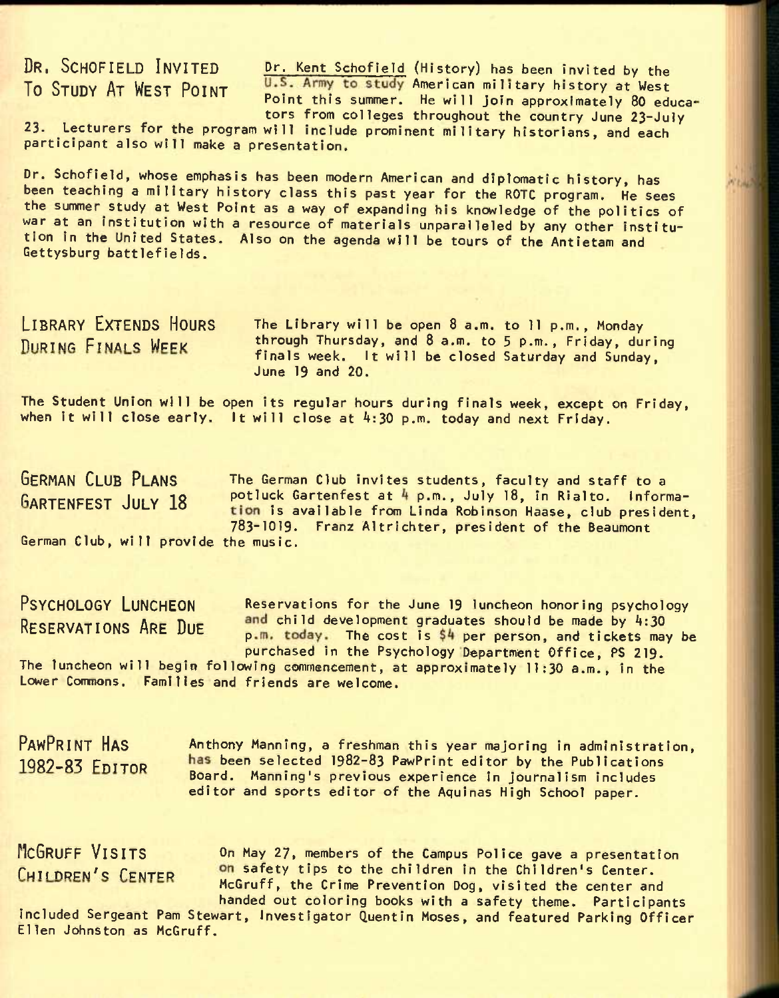DR. SCHOFIELD INVITED **Dr. Kent Schofield (History)** has been invited by the To STUDY AT WEST POINT U.S. Army to study American military history at West Point this summer. He will join approximately 80 educators from colleges throughout the country June 23~Ju]y

23. Lecturers for the program will include prominent military historians, and each participant also will make a presentation.

Dr. Schofield, whose emphasis has been modern American and diplomatic history, has been teaching a military history class this past year for the ROTC program. He sees the summer study at West Point as a way of expanding his knowledge of the politics of war at an institution with a resource of materials unparalleled by any other institution in the United States. Also on the agenda will be tours of the Antietam and Gettysburg battlefields.

LIBRARY EXTENDS HOURS The Library will be open 8 a.m. to 11 p.m., Monday DURING FINALS WEEK through Thursday, and 8 a.m. to 5 p.m., Friday, during finals week. It will be closed Saturday and Sunday, June 19 and 20.

The Student Union will be open its regular hours during finals week, except on Friday, when it will close early. It will close at  $4:30$  p.m. today and next Friday.

GERMAN CLUB PLANS The German Club invites students, faculty and staff to a GARTENFEST JULY 18 potluck Gartenfest at 4 p.m., July 18, in Rialto. Information is available from Linda Robinson Haase, club president, 783-1019. Franz Altrichter, president of the Beaumont German Club, will provide the music.

PSYCHOLOGY LUNCHEON Reservations for the June 19 luncheon honoring psychology RESERVATIONS ARE DUE and child development graduates should be made by 4:30 p.m. today. The cost is \$4 per person, and tickets may be purchased in the Psychology Department Office, PS 219.

The luncheon will begin following commencement, at approximately 11;30 a.m., in the Lower Commons. Families and friends are welcome.

PAWPRINT HAS Anthony Manning, a freshman this year majoring in administration, 1982-83 FDITOR been selected 1982-83 PawPrint editor by the Publications Board. Manning's previous experience in Journalism includes editor and sports editor of the Aquinas High School paper.

MCGRUFF VISITS On May 27, members of the Campus Police gave a presentation CHILDREN'S CENTER on safety tips to the children in the Children's Center. McGruff, the Crime Prevention Dog, visited the center and handed out coloring books with a safety theme. Participants

included Sergeant Pam Stewart, Investigator Quentin Moses, and featured Parking Officer Ellen Johnston as McGruff.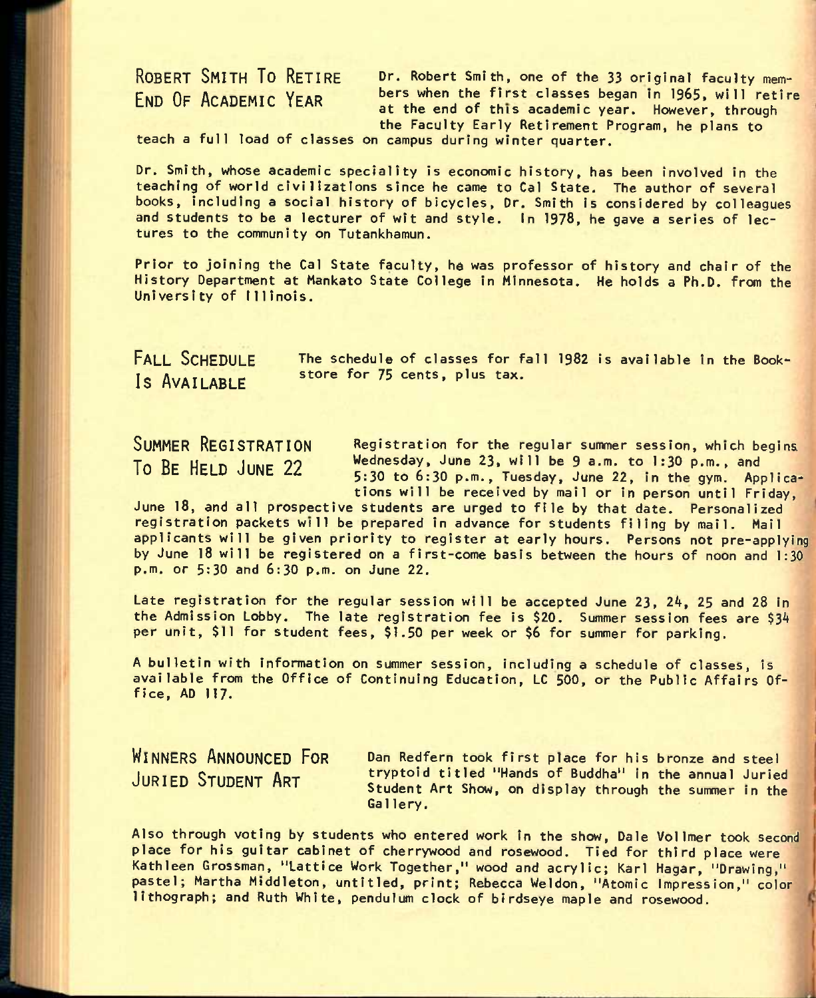# ROBERT SMITH TO RETIRE END OF ACADEMIC YEAR

Dr. Robert Smith, one of the 33 original faculty members when the first classes began in 1965, will retire at the end of this academic year. However, through the Faculty Early Retirement Program, he plans to

teach a full load of classes on campus during winter quarter.

Dr. Smith, whose academic speciality is economic history, has been involved in the teaching of world civilizations since he came to Cal State. The author of several books, including a social history of bicycles, Dr. Smith is considered by colleagues and students to be a lecturer of wit and style. In 1978, he gave a series of lectures to the community on Tutankhamun.

Prior to joining the Cal State faculty, he was professor of history and chair of the History Department at Mankato State College In Minnesota. He holds a Ph.D. from the University of Illinois.

FALL SCHEDULE **Is** AVAILABLE

The schedule of classes for fall 1982 Is available In the Bookstore for 75 cents, plus tax.

SUMMER REGISTRATION **To** BE HELD JUNE 22

Registration for the regular summer session, which begins Wednesday, June 23, will be 9 a.m. to 1:30 p.m., and 5:30 to 6:30 p.m., Tuesday, June 22, In the gym. Applications will be received by mail or in person until Friday,

June 18, and all prospective students are urged to file by that date. Personalized registration packets will be prepared in advance for students filing by mail. Mail applicants will be given priority to register at early hours. Persons not pre-applying by June 18 will be registered on a first-come basis between the hours of noon and 1:30 p.m. or 5:30 and 6:30 p.m. on June 22.

Late registration for the regular session will be accepted June 23, 24, 25 and 28 In the Admission Lobby. The late registration fee is \$20. Summer session fees are \$34 per unit, \$11 for student fees, \$1.50 per week or \$6 for summer for parking.

A bulletin with information on summer session. Including a schedule of classes, is available from the Office of Continuing Education, LC 500, or the Public Affairs Office, AD 117.

WINNERS ANNOUNCED FOR JURIED STUDENT ART

Dan Redfern took first place for his bronze and steel tryptold titled "Hands of Buddha" in the annual Juried Student Art Show, on display through the summer in the Gallery.

Also through voting by students who entered work in the show, Dale Vollmer took second place for his guitar cabinet of cherrywood and rosewood. Tied for third place were Kathleen Grossman, "Lattice Work Together," wood and acrylic; Karl Hagar, "Drawing," pastel; Martha Middleton, untitled, print; Rebecca Weldon, "Atomic Impression," color lithograph; and Ruth White, pendulum clock of blrdseye maple and rosewood.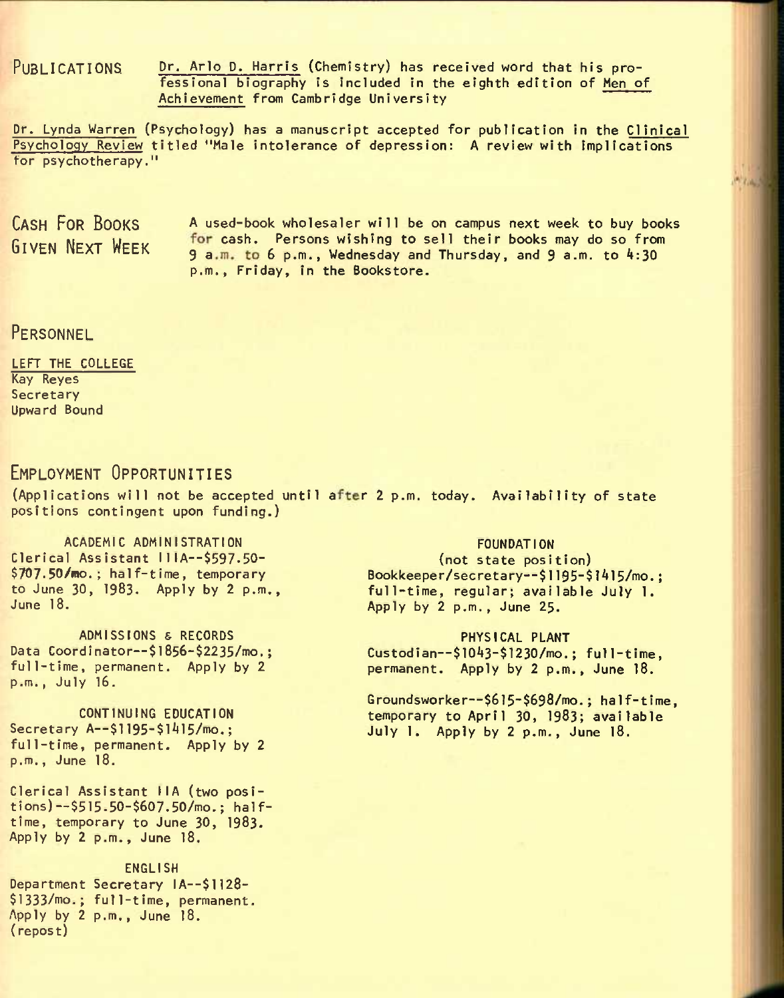PUBLICATIONS Dr. Arlo D. Harris (Chemistry) has received word that his professional biography is included in the eighth edition of Men of Achievement from Cambridge University

Dr. Lynda Warren (Psychology) has a manuscript accepted for publication in the Clinical Psychology Review titled "Male intolerance of depression: A review with implications tor psychotherapy."

CASH FOR BOOKS A used-book wholesaler will be on campus next week to buy books GIVEN NEXT WFEK for cash. Persons wishing to sell their books may do so from 9 a.m. to 6 p.m., Wednesday and Thursday, and 9 a.m. to 4:30 p.m., Friday, in the Bookstore.

# **PERSONNEL**

### LEFT THE COLLEGE Kay Reyes Secretary Upward Bound

# EMPLOYMENT OPPORTUNITIES

(Applications will not be accepted until after 2 p.m. today. Availability of state positions contingent upon funding.)

ACADEMIC ADMINISTRATION Clerical Assistant IllA—\$597.50- \$707.50/mo.; half-time, temporary to June 30, 1983. Apply by 2 p.m., June 18.

ADMISSIONS & RECORDS Data Coordinator--\$1856-\$2235/mo.: full-time, permanent. Apply by 2 p.m., July 16.

CONTINUING EDUCATION Secretary A--\$1195-\$1415/mo.: full-time, permanent. Apply by 2 p.m., June 18.

Clerical Assistant IIA (two posi $tions$ ) --\$515.50-\$607.50/mo.; halftime, temporary to June 30, 1983. Apply by 2 p.m., June 18.

ENGLISH Department Secretary IA--\$1128-\$1333/mo.; full-time, permanent. Apply by 2 p.m., June 18. (repost)

# FOUNDATION

(not state position) Bookkeeper/secretary—\$1195-\$1Al5/mo.; full-time, regular; available July 1. Apply by 2 p.m., June 25.

### PHYSICAL PLANT

Custodian--\$1043-\$1230/mo.; full-time, permanent. Apply by 2 p.m., June 18.

Groundsworker—\$6l5-\$698/mo.; half-time, temporary to April 30, 1983; available July 1. Apply by 2 p.m., June 18.